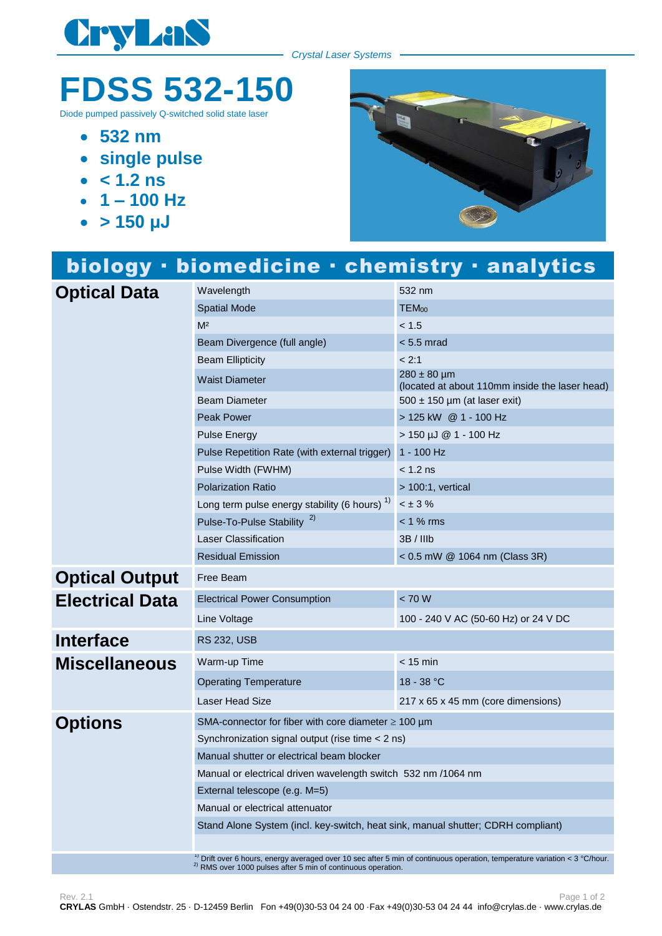

*Crystal Laser Systems*

## **FDSS 532-150**

Diode pumped passively Q-switched solid state lase

- **532 nm**
- **single pulse**
- $\cdot$   $\leq 1.2$  **ns**
- **1 – 100 Hz**
- **> 150 μJ**



## biology · biomedicine · chemistry · analytics **Optical Data** Wavelength 532 nm Spatial Mode TEM<sub>00</sub>  $M<sup>2</sup>$  and  $M<sup>2</sup>$  and  $M<sup>2</sup>$  and  $M<sup>2</sup>$ Beam Divergence (full angle) < 5.5 mrad Beam Ellipticity **Example 2:1** Waist Diameter  $280 \pm 80 \mu m$ (located at about 110mm inside the laser head) Beam Diameter 500 ± 150 µm (at laser exit) Peak Power 2008 2012 125 kW 2 1 - 100 Hz Pulse Energy > 150 µJ @ 1 - 100 Hz Pulse Repetition Rate (with external trigger) 1 - 100 Hz Pulse Width (FWHM)  $<$  1.2 ns Polarization Ratio > 100:1, vertical Long term pulse energy stability (6 hours)  $1$ )  $< \pm 3 \%$ Pulse-To-Pulse Stability<sup>2)</sup> < 1 % rms Laser Classification 3B / IIIb Residual Emission < 0.5 mW @ 1064 nm (Class 3R) **Optical Output** Free Beam **Electrical Data** Electrical Power Consumption < 70 W Line Voltage 100 - 240 V AC (50-60 Hz) or 24 V DC **Interface** RS 232, USB **Miscellaneous** Warm-up Time **Constant Construction**  $\leq 15$  min Operating Temperature 18 - 38 °C Laser Head Size 217 x 65 x 45 mm (core dimensions) **Options** SMA-connector for fiber with core diameter ≥ 100 µm Synchronization signal output (rise time < 2 ns) Manual shutter or electrical beam blocker Manual or electrical driven wavelength switch 532 nm /1064 nm External telescope (e.g. M=5) Manual or electrical attenuator Stand Alone System (incl. key-switch, heat sink, manual shutter; CDRH compliant) <sup>1)</sup> Drift over 6 hours, energy averaged over 10 sec after 5 min of continuous operation, temperature variation < 3 °C/hour. 2) RMS over 1000 pulses after 5 min of continuous operation.